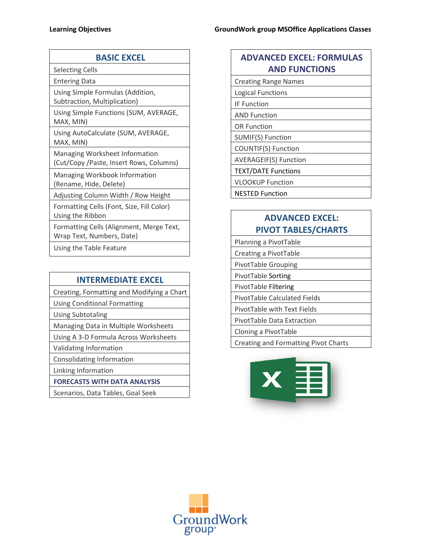| <b>BASIC EXCEL</b>                                                               |
|----------------------------------------------------------------------------------|
| <b>Selecting Cells</b>                                                           |
| <b>Entering Data</b>                                                             |
| Using Simple Formulas (Addition,<br>Subtraction, Multiplication)                 |
| Using Simple Functions (SUM, AVERAGE,<br>MAX, MIN)                               |
| Using AutoCalculate (SUM, AVERAGE,<br>MAX, MIN)                                  |
| <b>Managing Worksheet Information</b><br>(Cut/Copy /Paste, Insert Rows, Columns) |
| Managing Workbook Information<br>(Rename, Hide, Delete)                          |
| Adjusting Column Width / Row Height                                              |
| Formatting Cells (Font, Size, Fill Color)<br>Using the Ribbon                    |
| Formatting Cells (Alignment, Merge Text,<br>Wrap Text, Numbers, Date)            |
| けいきょう うしょうせいしょう きょうそう                                                            |

Using the Table Feature

### **INTERMEDIATE EXCEL**

Creating, Formatting and Modifying a Chart

Using Conditional Formatting

Using Subtotaling

Managing Data in Multiple Worksheets

Using A 3-D Formula Across Worksheets

Validating Information

Consolidating Information

Linking Information

**FORECASTS WITH DATA ANALYSIS** 

Scenarios, Data Tables, Goal Seek

# **ADVANCED EXCEL: FORMULAS AND FUNCTIONS**

| <b>Creating Range Names</b>  |
|------------------------------|
| <b>Logical Functions</b>     |
| <b>IF Function</b>           |
| <b>AND Function</b>          |
| <b>OR Function</b>           |
| SUMIF(S) Function            |
| <b>COUNTIF(S) Function</b>   |
| <b>AVERAGEIF(S) Function</b> |
| <b>TEXT/DATE Functions</b>   |
| <b>VLOOKUP Function</b>      |
| <b>NESTED Function</b>       |

# **ADVANCED EXCEL: PIVOT TABLES/CHARTS**

Planning a PivotTable Creating a PivotTable

PivotTable Grouping

PivotTable Sorting

PivotTable Filtering

PivotTable Calculated Fields

PivotTable with Text Fields

PivotTable Data Extraction

Cloning a PivotTable

Creating and Formatting Pivot Charts



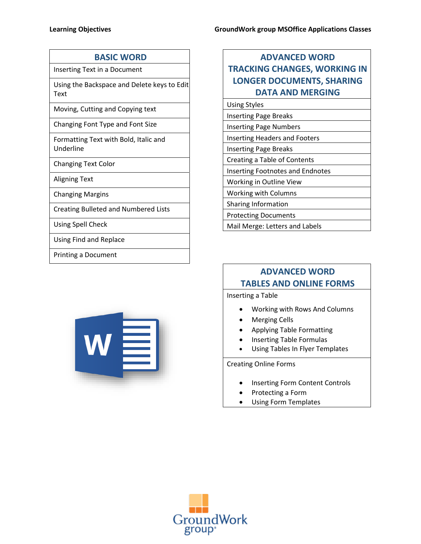Inserting Text in a Document

Using the Backspace and Delete keys to Edit Text

Moving, Cutting and Copying text

Changing Font Type and Font Size

Formatting Text with Bold, Italic and Underline

Changing Text Color

Aligning Text

Changing Margins

Creating Bulleted and Numbered Lists

Using Spell Check

Using Find and Replace

Printing a Document



| <b>ADVANCED WORD</b>                 |
|--------------------------------------|
| <b>TRACKING CHANGES, WORKING IN</b>  |
| <b>LONGER DOCUMENTS, SHARING</b>     |
| <b>DATA AND MERGING</b>              |
| <b>Using Styles</b>                  |
| <b>Inserting Page Breaks</b>         |
| <b>Inserting Page Numbers</b>        |
| <b>Inserting Headers and Footers</b> |

Protecting Documents

Mail Merge: Letters and Labels

Inserting Page Breaks

Creating a Table of Contents

Working in Outline View Working with Columns Sharing Information

Inserting Footnotes and Endnotes

# **ADVANCED WORD TABLES AND ONLINE FORMS**

Inserting a Table

- Working with Rows And Columns
- Merging Cells
- Applying Table Formatting
- Inserting Table Formulas
- Using Tables In Flyer Templates

Creating Online Forms

- Inserting Form Content Controls
- Protecting a Form
- Using Form Templates

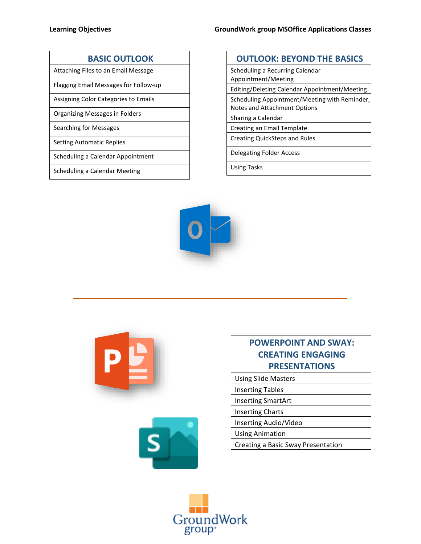### **BASIC OUTLOOK**

Attaching Files to an Email Message

Flagging Email Messages for Follow-up

Assigning Color Categories to Emails

Organizing Messages in Folders

Searching for Messages

Setting Automatic Replies

Scheduling a Calendar Appointment

Scheduling a Calendar Meeting

### **OUTLOOK: BEYOND THE BASICS**

Scheduling a Recurring Calendar Appointment/Meeting Editing/Deleting Calendar Appointment/Meeting

Scheduling Appointment/Meeting with Reminder,

Notes and Attachment Options Sharing a Calendar

Creating an Email Template

Creating QuickSteps and Rules

Delegating Folder Access

Using Tasks







# **POWERPOINT AND SWAY: CREATING ENGAGING PRESENTATIONS**

Using Slide Masters

Inserting Tables

Inserting SmartArt

Inserting Charts

Inserting Audio/Video

Using Animation

Creating a Basic Sway Presentation